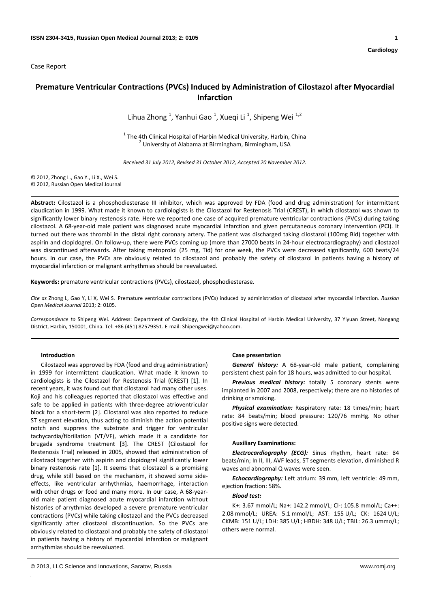Case Report

# **Premature Ventricular Contractions (PVCs) Induced by Administration of Cilostazol after Myocardial Infarction**

Lihua Zhong<sup>1</sup>, Yanhui Gao<sup>1</sup>, Xueqi Li<sup>1</sup>, Shipeng Wei<sup>1,2</sup>

<sup>1</sup> The 4th Clinical Hospital of Harbin Medical University, Harbin, China <sup>2</sup> University of Alabama at Birmingham, Birmingham, USA

*Received 31 July 2012, Revised 31 October 2012, Accepted 20 November 2012.*

© 2012, Zhong L., Gao Y., Li X., Wei S. © 2012, Russian Open Medical Journal

**Abstract:** Cilostazol is a phosphodiesterase III inhibitor, which was approved by FDA (food and drug administration) for intermittent claudication in 1999. What made it known to cardiologists is the Cilostazol for Restenosis Trial (CREST), in which cilostazol was shown to significantly lower binary restenosis rate. Here we reported one case of acquired premature ventricular contractions (PVCs) during taking cilostazol. A 68‐year‐old male patient was diagnosed acute myocardial infarction and given percutaneous coronary intervention (PCI). It turned out there was thrombi in the distal right coronary artery. The patient was discharged taking cilostazol (100mg Bid) together with aspirin and clopidogrel. On follow‐up, there were PVCs coming up (more than 27000 beats in 24‐hour electrocardiography) and cilostazol was discontinued afterwards. After taking metoprolol (25 mg, Tid) for one week, the PVCs were decreased significantly, 600 beats/24 hours. In our case, the PVCs are obviously related to cilostazol and probably the safety of cilostazol in patients having a history of myocardial infarction or malignant arrhythmias should be reevaluated.

**Keywords:** premature ventricular contractions (PVCs), cilostazol, phosphodiesterase.

*Cite as* Zhong L, Gao Y, Li X, Wei S. Premature ventricular contractions (PVCs) induced by administration of cilostazol after myocardial infarction. *Russian Open Medical Journal* 2013; 2: 0105.

*Correspondence to* Shipeng Wei. Address: Department of Cardiology, the 4th Clinical Hospital of Harbin Medical University, 37 Yiyuan Street, Nangang District, Harbin, 150001, China. Tel: +86 (451) 82579351. E‐mail: Shipengwei@yahoo.com.

## **Introduction**

Cilostazol was approved by FDA (food and drug administration) in 1999 for intermittent claudication. What made it known to cardiologists is the Cilostazol for Restenosis Trial (CREST) [1]. In recent years, it was found out that cilostazol had many other uses. Koji and his colleagues reported that cilostazol was effective and safe to be applied in patients with three-degree atrioventricular block for a short‐term [2]. Cilostazol was also reported to reduce ST segment elevation, thus acting to diminish the action potential notch and suppress the substrate and trigger for ventricular tachycardia/fibrillation (VT/VF), which made it a candidate for brugada syndrome treatment [3]. The CREST (Cilostazol for Restenosis Trial) released in 2005, showed that administration of cilostzaol together with aspirin and clopidogrel significantly lower binary restenosis rate [1]. It seems that cilostazol is a promising drug, while still based on the mechanism, it showed some side‐ effects, like ventricular arrhythmias, haemorrhage, interaction with other drugs or food and many more. In our case, A 68‐year‐ old male patient diagnosed acute myocardial infarction without histories of arrythmias developed a severe premature ventricular contractions (PVCs) while taking cilostazol and the PVCs decreased significantly after cilostazol discontinuation. So the PVCs are obviously related to cilostazol and probably the safety of cilostazol in patients having a history of myocardial infarction or malignant arrhythmias should be reevaluated.

### **Case presentation**

*General history:* A 68‐year‐old male patient, complaining persistent chest pain for 18 hours, was admitted to our hospital.

*Previous medical history:* totally 5 coronary stents were implanted in 2007 and 2008, respectively; there are no histories of drinking or smoking.

**Physical** *examination:* Respiratory rate: 18 times/min: heart rate: 84 beats/min; blood pressure: 120/76 mmHg. No other positive signs were detected.

### **Auxiliary Examinations:**

*Electrocardiography (ECG):* Sinus rhythm, heart rate: 84 beats/min; In II, III, AVF leads, ST segments elevation, diminished R waves and abnormal Q waves were seen.

*Echocardiography:* Left atrium: 39 mm, left ventricle: 49 mm, ejection fraction: 58%.

# *Blood test:*

K+: 3.67 mmol/L; Na+: 142.2 mmol/L; Cl-: 105.8 mmol/L; Ca++: 2.08 mmol/L; UREA: 5.1 mmol/L; AST: 155 U/L; CK: 1624 U/L; CKMB: 151 U/L; LDH: 385 U/L; HBDH: 348 U/L; TBIL: 26.3 ummo/L; others were normal.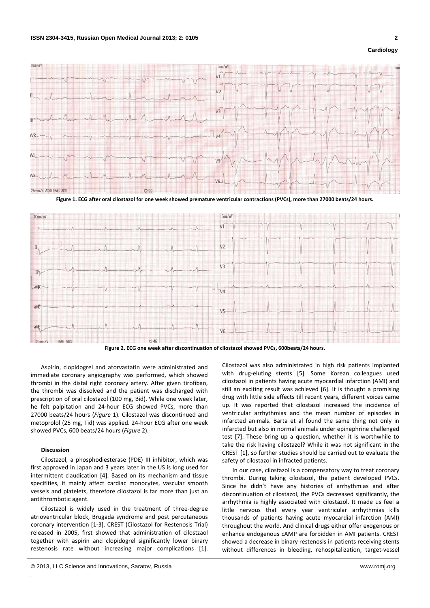

Figure 1. ECG after oral cilostazol for one week showed premature ventricular contractions (PVCs), more than 27000 beats/24 hours.



**Figure 2. ECG one week after discontinuation of cilostazol showed PVCs, 600beats/24 hours.**

Aspirin, clopidogrel and atorvastatin were administrated and immediate coronary angiography was performed, which showed thrombi in the distal right coronary artery. After given tirofiban, the thrombi was dissolved and the patient was discharged with prescription of oral cilostazol (100 mg, Bid). While one week later, he felt palpitation and 24‐hour ECG showed PVCs, more than 27000 beats/24 hours (*Figure* 1). Cilostazol was discontinued and metoprolol (25 mg, Tid) was applied. 24‐hour ECG after one week showed PVCs, 600 beats/24 hours (*Figure* 2).

## **Discussion**

Cilostazol, a phosphodiesterase (PDE) III inhibitor, which was first approved in Japan and 3 years later in the US is long used for intermittent claudication [4]. Based on its mechanism and tissue specifities, it mainly affect cardiac monocytes, vascular smooth vessels and platelets, therefore cilostazol is far more than just an antithrombotic agent.

Cilostazol is widely used in the treatment of three‐degree atrioventricular block, Brugada syndrome and post percutaneous coronary intervention [1‐3]. CREST (Cilostazol for Restenosis Trial) released in 2005, first showed that administration of cilostzaol together with aspirin and clopidogrel significantly lower binary restenosis rate without increasing major complications [1]. Cilostazol was also administrated in high risk patients implanted with drug-eluting stents [5]. Some Korean colleagues used cilostazol in patients having acute myocardial infarction (AMI) and still an exciting result was achieved [6]. It is thought a promising drug with little side effects till recent years, different voices came up. It was reported that cilostazol increased the incidence of ventricular arrhythmias and the mean number of episodes in infarcted animals. Barta et al found the same thing not only in infarcted but also in normal animals under epinephrine challenged test [7]. These bring up a question, whether it is worthwhile to take the risk having cilostazol? While it was not significant in the CREST [1], so further studies should be carried out to evaluate the safety of cilostazol in infracted patients.

In our case, cilostazol is a compensatory way to treat coronary thrombi. During taking cilostazol, the patient developed PVCs. Since he didn't have any histories of arrhythmias and after discontinuation of cilostazol, the PVCs decreased significantly, the arrhythmia is highly associated with cilostazol. It made us feel a little nervous that every year ventricular arrhythmias kills thousands of patients having acute myocardial infarction (AMI) throughout the world. And clinical drugs either offer exogenous or enhance endogenous cAMP are forbidden in AMI patients. CREST showed a decrease in binary restenosis in patients receiving stents without differences in bleeding, rehospitalization, target-vessel